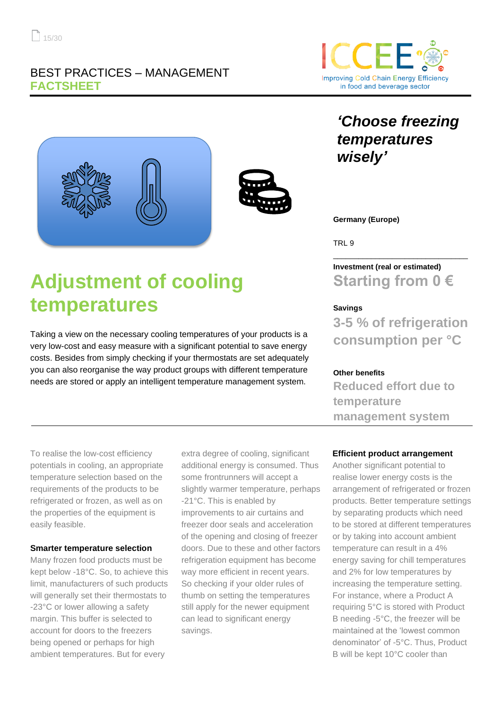# BEST PRACTICES – MANAGEMENT **FACTSHEET**



*temperatures* 

*'Choose freezing* 



Taking a view on the necessary cooling temperatures of your products is a very low-cost and easy measure with a significant potential to save energy costs. Besides from simply checking if your thermostats are set adequately you can also reorganise the way product groups with different temperature needs are stored or apply an intelligent temperature management system.

**Germany (Europe)**

*wisely'*

TRL 9

**Investment (real or estimated) Starting from 0 €**

\_\_\_\_\_\_\_\_\_\_\_\_\_\_\_\_\_\_\_\_\_\_\_\_\_\_\_\_\_\_\_\_

## **Savings**

**3-5 % of refrigeration consumption per °C**

#### **Other benefits**

**Reduced effort due to temperature management system**

To realise the low-cost efficiency potentials in cooling, an appropriate temperature selection based on the requirements of the products to be refrigerated or frozen, as well as on the properties of the equipment is easily feasible.

#### **Smarter temperature selection**

Many frozen food products must be kept below -18°C. So, to achieve this limit, manufacturers of such products will generally set their thermostats to -23°C or lower allowing a safety margin. This buffer is selected to account for doors to the freezers being opened or perhaps for high ambient temperatures. But for every

extra degree of cooling, significant additional energy is consumed. Thus some frontrunners will accept a slightly warmer temperature, perhaps -21°C. This is enabled by improvements to air curtains and freezer door seals and acceleration of the opening and closing of freezer doors. Due to these and other factors refrigeration equipment has become way more efficient in recent years. So checking if your older rules of thumb on setting the temperatures still apply for the newer equipment can lead to significant energy savings.

# **Efficient product arrangement**

Another significant potential to realise lower energy costs is the arrangement of refrigerated or frozen products. Better temperature settings by separating products which need to be stored at different temperatures or by taking into account ambient temperature can result in a 4% energy saving for chill temperatures and 2% for low temperatures by increasing the temperature setting. For instance, where a Product A requiring 5°C is stored with Product B needing -5°C, the freezer will be maintained at the 'lowest common denominator' of -5°C. Thus, Product B will be kept 10°C cooler than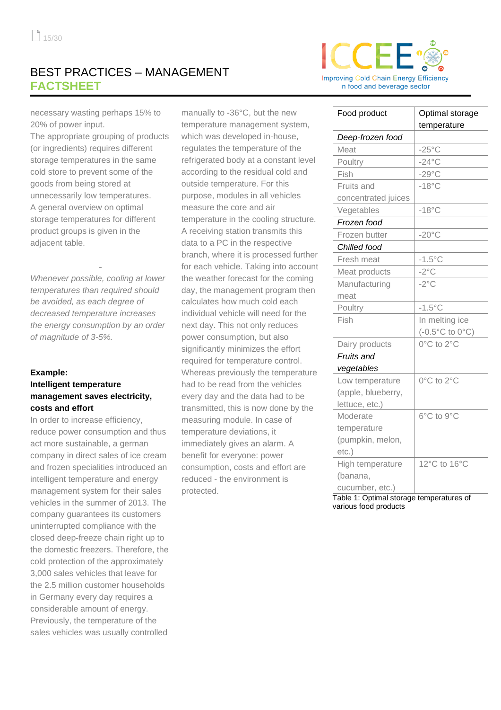# BEST PRACTICES – MANAGEMENT **FACTSHEET**



necessary wasting perhaps 15% to 20% of power input.

The appropriate grouping of products (or ingredients) requires different storage temperatures in the same cold store to prevent some of the goods from being stored at unnecessarily low temperatures. A general overview on optimal storage temperatures for different product groups is given in the adjacent table.

*Whenever possible, cooling at lower temperatures than required should be avoided, as each degree of decreased temperature increases the energy consumption by an order of magnitude of 3-5%.*

# **Example: Intelligent temperature management saves electricity, costs and effort**

In order to increase efficiency, reduce power consumption and thus act more sustainable, a german company in direct sales of ice cream and frozen specialities introduced an intelligent temperature and energy management system for their sales vehicles in the summer of 2013. The company guarantees its customers uninterrupted compliance with the closed deep-freeze chain right up to the domestic freezers. Therefore, the cold protection of the approximately 3,000 sales vehicles that leave for the 2.5 million customer households in Germany every day requires a considerable amount of energy. Previously, the temperature of the sales vehicles was usually controlled

manually to -36°C, but the new temperature management system, which was developed in-house, regulates the temperature of the refrigerated body at a constant level according to the residual cold and outside temperature. For this purpose, modules in all vehicles measure the core and air temperature in the cooling structure. A receiving station transmits this data to a PC in the respective branch, where it is processed further for each vehicle. Taking into account the weather forecast for the coming day, the management program then calculates how much cold each individual vehicle will need for the next day. This not only reduces power consumption, but also significantly minimizes the effort required for temperature control. Whereas previously the temperature had to be read from the vehicles every day and the data had to be transmitted, this is now done by the measuring module. In case of temperature deviations, it immediately gives an alarm. A benefit for everyone: power consumption, costs and effort are reduced - the environment is protected.

| Food product        | Optimal storage                          |
|---------------------|------------------------------------------|
|                     | temperature                              |
| Deep-frozen food    |                                          |
| Meat                | $-25^{\circ}$ C                          |
| Poultry             | $-24$ °C                                 |
| Fish                | $-29^{\circ}$ C                          |
| Fruits and          | $-18^{\circ}$ C                          |
| concentrated juices |                                          |
| Vegetables          | $-18^{\circ}$ C                          |
| Frozen food         |                                          |
| Frozen butter       | $-20^{\circ}$ C                          |
| Chilled food        |                                          |
| Fresh meat          | $-1.5^{\circ}$ C                         |
| Meat products       | $-2^{\circ}$ C                           |
| Manufacturing       | $-2^{\circ}$ C                           |
| meat                |                                          |
| Poultry             | $-1.5^{\circ}$ C                         |
| Fish                | In melting ice                           |
|                     | $(-0.5^{\circ}C \text{ to } 0^{\circ}C)$ |
| Dairy products      | 0°C to 2°C                               |
| Fruits and          |                                          |
| vegetables          |                                          |
| Low temperature     | 0°C to 2°C                               |
| (apple, blueberry,  |                                          |
| lettuce, etc.)      |                                          |
| Moderate            | 6°C to 9°C                               |
| temperature         |                                          |
| (pumpkin, melon,    |                                          |
| $etc.$ )            |                                          |
| High temperature    | 12°C to 16°C                             |
| (banana,            |                                          |
| cucumber, etc.)     |                                          |

Table 1: Optimal storage temperatures of various food products